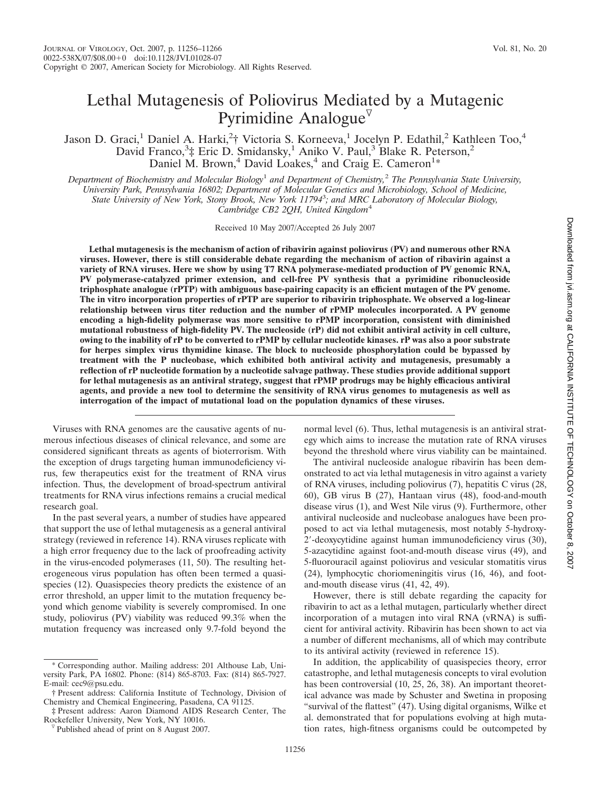# Lethal Mutagenesis of Poliovirus Mediated by a Mutagenic Pyrimidine Analogue $^{\nabla}$

Jason D. Graci,<sup>1</sup> Daniel A. Harki,<sup>2</sup>† Victoria S. Korneeva,<sup>1</sup> Jocelyn P. Edathil,<sup>2</sup> Kathleen Too,<sup>4</sup> David Franco,<sup>3</sup>‡ Eric D. Smidansky,<sup>1</sup> Aniko V. Paul,<sup>3</sup> Blake R. Peterson,<sup>2</sup> Daniel M. Brown,<sup>4</sup> David Loakes,<sup>4</sup> and Craig E. Cameron<sup>1</sup>\*

*Department of Biochemistry and Molecular Biology*<sup>1</sup> *and Department of Chemistry,*<sup>2</sup> *The Pennsylvania State University, University Park, Pennsylvania 16802; Department of Molecular Genetics and Microbiology, School of Medicine, State University of New York, Stony Brook, New York 11794*<sup>3</sup> *; and MRC Laboratory of Molecular Biology, Cambridge CB2 2QH, United Kingdom*<sup>4</sup>

Received 10 May 2007/Accepted 26 July 2007

**Lethal mutagenesis is the mechanism of action of ribavirin against poliovirus (PV) and numerous other RNA viruses. However, there is still considerable debate regarding the mechanism of action of ribavirin against a variety of RNA viruses. Here we show by using T7 RNA polymerase-mediated production of PV genomic RNA, PV polymerase-catalyzed primer extension, and cell-free PV synthesis that a pyrimidine ribonucleoside triphosphate analogue (rPTP) with ambiguous base-pairing capacity is an efficient mutagen of the PV genome. The in vitro incorporation properties of rPTP are superior to ribavirin triphosphate. We observed a log-linear relationship between virus titer reduction and the number of rPMP molecules incorporated. A PV genome encoding a high-fidelity polymerase was more sensitive to rPMP incorporation, consistent with diminished mutational robustness of high-fidelity PV. The nucleoside (rP) did not exhibit antiviral activity in cell culture, owing to the inability of rP to be converted to rPMP by cellular nucleotide kinases. rP was also a poor substrate for herpes simplex virus thymidine kinase. The block to nucleoside phosphorylation could be bypassed by treatment with the P nucleobase, which exhibited both antiviral activity and mutagenesis, presumably a reflection of rP nucleotide formation by a nucleotide salvage pathway. These studies provide additional support for lethal mutagenesis as an antiviral strategy, suggest that rPMP prodrugs may be highly efficacious antiviral agents, and provide a new tool to determine the sensitivity of RNA virus genomes to mutagenesis as well as interrogation of the impact of mutational load on the population dynamics of these viruses.**

Viruses with RNA genomes are the causative agents of numerous infectious diseases of clinical relevance, and some are considered significant threats as agents of bioterrorism. With the exception of drugs targeting human immunodeficiency virus, few therapeutics exist for the treatment of RNA virus infection. Thus, the development of broad-spectrum antiviral treatments for RNA virus infections remains a crucial medical research goal.

In the past several years, a number of studies have appeared that support the use of lethal mutagenesis as a general antiviral strategy (reviewed in reference 14). RNA viruses replicate with a high error frequency due to the lack of proofreading activity in the virus-encoded polymerases (11, 50). The resulting heterogeneous virus population has often been termed a quasispecies (12). Quasispecies theory predicts the existence of an error threshold, an upper limit to the mutation frequency beyond which genome viability is severely compromised. In one study, poliovirus (PV) viability was reduced 99.3% when the mutation frequency was increased only 9.7-fold beyond the

normal level (6). Thus, lethal mutagenesis is an antiviral strategy which aims to increase the mutation rate of RNA viruses beyond the threshold where virus viability can be maintained.

The antiviral nucleoside analogue ribavirin has been demonstrated to act via lethal mutagenesis in vitro against a variety of RNA viruses, including poliovirus (7), hepatitis C virus (28, 60), GB virus B (27), Hantaan virus (48), food-and-mouth disease virus (1), and West Nile virus (9). Furthermore, other antiviral nucleoside and nucleobase analogues have been proposed to act via lethal mutagenesis, most notably 5-hydroxy-2--deoxycytidine against human immunodeficiency virus (30), 5-azacytidine against foot-and-mouth disease virus (49), and 5-fluorouracil against poliovirus and vesicular stomatitis virus (24), lymphocytic choriomeningitis virus (16, 46), and footand-mouth disease virus (41, 42, 49).

However, there is still debate regarding the capacity for ribavirin to act as a lethal mutagen, particularly whether direct incorporation of a mutagen into viral RNA (vRNA) is sufficient for antiviral activity. Ribavirin has been shown to act via a number of different mechanisms, all of which may contribute to its antiviral activity (reviewed in reference 15).

In addition, the applicability of quasispecies theory, error catastrophe, and lethal mutagenesis concepts to viral evolution has been controversial (10, 25, 26, 38). An important theoretical advance was made by Schuster and Swetina in proposing "survival of the flattest" (47). Using digital organisms, Wilke et al. demonstrated that for populations evolving at high mutation rates, high-fitness organisms could be outcompeted by

<sup>\*</sup> Corresponding author. Mailing address: 201 Althouse Lab, University Park, PA 16802. Phone: (814) 865-8703. Fax: (814) 865-7927. E-mail: cec9@psu.edu.

<sup>†</sup> Present address: California Institute of Technology, Division of Chemistry and Chemical Engineering, Pasadena, CA 91125.

<sup>‡</sup> Present address: Aaron Diamond AIDS Research Center, The

Published ahead of print on 8 August 2007.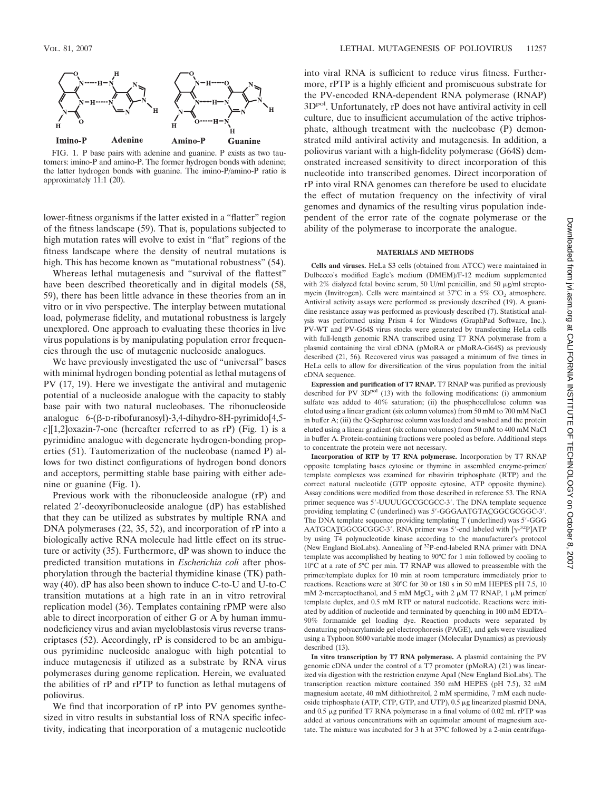

FIG. 1. P base pairs with adenine and guanine. P exists as two tautomers: imino-P and amino-P. The former hydrogen bonds with adenine; the latter hydrogen bonds with guanine. The imino-P/amino-P ratio is approximately 11:1 (20).

lower-fitness organisms if the latter existed in a "flatter" region of the fitness landscape (59). That is, populations subjected to high mutation rates will evolve to exist in "flat" regions of the fitness landscape where the density of neutral mutations is high. This has become known as "mutational robustness" (54).

Whereas lethal mutagenesis and "survival of the flattest" have been described theoretically and in digital models (58, 59), there has been little advance in these theories from an in vitro or in vivo perspective. The interplay between mutational load, polymerase fidelity, and mutational robustness is largely unexplored. One approach to evaluating these theories in live virus populations is by manipulating population error frequencies through the use of mutagenic nucleoside analogues.

We have previously investigated the use of "universal" bases with minimal hydrogen bonding potential as lethal mutagens of PV (17, 19). Here we investigate the antiviral and mutagenic potential of a nucleoside analogue with the capacity to stably base pair with two natural nucleobases. The ribonucleoside analogue  $6-(\beta$ -D-ribofuranosyl)-3,4-dihydro-8H-pyrimido[4,5*c*][1,2]oxazin-7-one (hereafter referred to as rP) (Fig. 1) is a pyrimidine analogue with degenerate hydrogen-bonding properties (51). Tautomerization of the nucleobase (named P) allows for two distinct configurations of hydrogen bond donors and acceptors, permitting stable base pairing with either adenine or guanine (Fig. 1).

Previous work with the ribonucleoside analogue (rP) and related 2--deoxyribonucleoside analogue (dP) has established that they can be utilized as substrates by multiple RNA and DNA polymerases (22, 35, 52), and incorporation of rP into a biologically active RNA molecule had little effect on its structure or activity (35). Furthermore, dP was shown to induce the predicted transition mutations in *Escherichia coli* after phosphorylation through the bacterial thymidine kinase (TK) pathway (40). dP has also been shown to induce C-to-U and U-to-C transition mutations at a high rate in an in vitro retroviral replication model (36). Templates containing rPMP were also able to direct incorporation of either G or A by human immunodeficiency virus and avian myeloblastosis virus reverse transcriptases (52). Accordingly, rP is considered to be an ambiguous pyrimidine nucleoside analogue with high potential to induce mutagenesis if utilized as a substrate by RNA virus polymerases during genome replication. Herein, we evaluated the abilities of rP and rPTP to function as lethal mutagens of poliovirus.

We find that incorporation of rP into PV genomes synthesized in vitro results in substantial loss of RNA specific infectivity, indicating that incorporation of a mutagenic nucleotide into viral RNA is sufficient to reduce virus fitness. Furthermore, rPTP is a highly efficient and promiscuous substrate for the PV-encoded RNA-dependent RNA polymerase (RNAP) 3Dpol. Unfortunately, rP does not have antiviral activity in cell culture, due to insufficient accumulation of the active triphosphate, although treatment with the nucleobase (P) demonstrated mild antiviral activity and mutagenesis. In addition, a poliovirus variant with a high-fidelity polymerase (G64S) demonstrated increased sensitivity to direct incorporation of this nucleotide into transcribed genomes. Direct incorporation of rP into viral RNA genomes can therefore be used to elucidate the effect of mutation frequency on the infectivity of viral genomes and dynamics of the resulting virus population independent of the error rate of the cognate polymerase or the ability of the polymerase to incorporate the analogue.

## **MATERIALS AND METHODS**

**Cells and viruses.** HeLa S3 cells (obtained from ATCC) were maintained in Dulbecco's modified Eagle's medium (DMEM)/F-12 medium supplemented with  $2\%$  dialyzed fetal bovine serum, 50 U/ml penicillin, and 50  $\mu$ g/ml streptomycin (Invitrogen). Cells were maintained at  $37^{\circ}$ C in a  $5\%$  CO<sub>2</sub> atmosphere. Antiviral activity assays were performed as previously described (19). A guanidine resistance assay was performed as previously described (7). Statistical analysis was performed using Prism 4 for Windows (GraphPad Software, Inc.). PV-WT and PV-G64S virus stocks were generated by transfecting HeLa cells with full-length genomic RNA transcribed using T7 RNA polymerase from a plasmid containing the viral cDNA (pMoRA or pMoRA-G64S) as previously described (21, 56). Recovered virus was passaged a minimum of five times in HeLa cells to allow for diversification of the virus population from the initial cDNA sequence.

**Expression and purification of T7 RNAP.** T7 RNAP was purified as previously described for PV 3D<sup>pol</sup> (13) with the following modifications: (i) ammonium sulfate was added to 40% saturation; (ii) the phosphocellulose column was eluted using a linear gradient (six column volumes) from 50 mM to 700 mM NaCl in buffer A; (iii) the Q-Sepharose column was loaded and washed and the protein eluted using a linear gradient (six column volumes) from 50 mM to 400 mM NaCl in buffer A. Protein-containing fractions were pooled as before. Additional steps to concentrate the protein were not necessary.

**Incorporation of RTP by T7 RNA polymerase.** Incorporation by T7 RNAP opposite templating bases cytosine or thymine in assembled enzyme-primer/ template complexes was examined for ribavirin triphosphate (RTP) and the correct natural nucleotide (GTP opposite cytosine, ATP opposite thymine). Assay conditions were modified from those described in reference 53. The RNA primer sequence was 5'-UUUUGCCGCGCC-3'. The DNA template sequence providing templating C (underlined) was 5'-GGGAATGTACGGCGCGC-3'. The DNA template sequence providing templating T (underlined) was 5'-GGG AATGCATGGCGCGGC-3'. RNA primer was 5'-end labeled with [ $\gamma$ -<sup>32</sup>P]ATP by using T4 polynucleotide kinase according to the manufacturer's protocol (New England BioLabs). Annealing of 32P-end-labeled RNA primer with DNA template was accomplished by heating to 90°C for 1 min followed by cooling to 10°C at a rate of 5°C per min. T7 RNAP was allowed to preassemble with the primer/template duplex for 10 min at room temperature immediately prior to reactions. Reactions were at 30°C for 30 or 180 s in 50 mM HEPES pH 7.5, 10 mM 2-mercaptoethanol, and 5 mM MgCl<sub>2</sub> with 2  $\mu$ M T7 RNAP, 1  $\mu$ M primer/ template duplex, and 0.5 mM RTP or natural nucleotide. Reactions were initiated by addition of nucleotide and terminated by quenching in 100 mM EDTA– 90% formamide gel loading dye. Reaction products were separated by denaturing polyacrylamide gel electrophoresis (PAGE), and gels were visualized using a Typhoon 8600 variable mode imager (Molecular Dynamics) as previously described (13).

**In vitro transcription by T7 RNA polymerase.** A plasmid containing the PV genomic cDNA under the control of a T7 promoter (pMoRA) (21) was linearized via digestion with the restriction enzyme ApaI (New England BioLabs). The transcription reaction mixture contained 350 mM HEPES (pH 7.5), 32 mM magnesium acetate, 40 mM dithiothreitol, 2 mM spermidine, 7 mM each nucleoside triphosphate (ATP, CTP, GTP, and UTP), 0.5 µg linearized plasmid DNA, and  $0.5 \mu$ g purified T7 RNA polymerase in a final volume of  $0.02 \text{ ml}$ . rPTP was added at various concentrations with an equimolar amount of magnesium acetate. The mixture was incubated for 3 h at 37°C followed by a 2-min centrifuga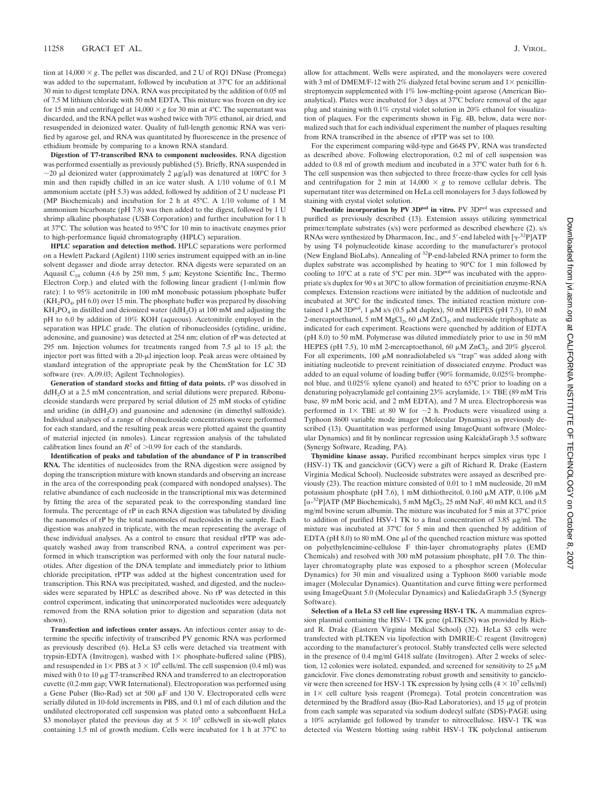tion at  $14,000 \times g$ . The pellet was discarded, and 2 U of RQ1 DNase (Promega) was added to the supernatant, followed by incubation at 37°C for an additional 30 min to digest template DNA. RNA was precipitated by the addition of 0.05 ml of 7.5 M lithium chloride with 50 mM EDTA. This mixture was frozen on dry ice for 15 min and centrifuged at  $14,000 \times g$  for 30 min at 4°C. The supernatant was discarded, and the RNA pellet was washed twice with 70% ethanol, air dried, and resuspended in deionized water. Quality of full-length genomic RNA was verified by agarose gel, and RNA was quantitated by fluorescence in the presence of ethidium bromide by comparing to a known RNA standard.

**Digestion of T7-transcribed RNA to component nucleosides.** RNA digestion was performed essentially as previously published (5). Briefly, RNA suspended in ~20 µl deionized water (approximately 2  $\mu$ g/ $\mu$ l) was denatured at 100°C for 3 min and then rapidly chilled in an ice water slush. A 1/10 volume of 0.1 M ammonium acetate (pH 5.3) was added, followed by addition of 2 U nuclease P1 (MP Biochemicals) and incubation for 2 h at 45°C. A 1/10 volume of 1 M ammonium bicarbonate (pH 7.8) was then added to the digest, followed by 1 U shrimp alkaline phosphatase (USB Corporation) and further incubation for 1 h at 37°C. The solution was heated to 95°C for 10 min to inactivate enzymes prior to high-performance liquid chromatography (HPLC) separation.

**HPLC separation and detection method.** HPLC separations were performed on a Hewlett Packard (Agilent) 1100 series instrument equipped with an in-line solvent degasser and diode array detector. RNA digests were separated on an Aquasil C<sub>18</sub> column (4.6 by 250 mm, 5  $\mu$ m; Keystone Scientific Inc., Thermo Electron Corp.) and eluted with the following linear gradient (1-ml/min flow rate): 1 to 95% acetonitrile in 100 mM monobasic potassium phosphate buffer  $(KH<sub>2</sub>PO<sub>4</sub>, pH 6.0)$  over 15 min. The phosphate buffer was prepared by dissolving  $KH<sub>2</sub>PO<sub>4</sub>$  in distilled and deionized water (ddH<sub>2</sub>O) at 100 mM and adjusting the pH to 6.0 by addition of 10% KOH (aqueous). Acetonitrile employed in the separation was HPLC grade. The elution of ribonucleosides (cytidine, uridine, adenosine, and guanosine) was detected at 254 nm; elution of rP was detected at 295 nm. Injection volumes for treatments ranged from 7.5  $\mu$ l to 15  $\mu$ l; the injector port was fitted with a 20-µl injection loop. Peak areas were obtained by standard integration of the appropriate peak by the ChemStation for LC 3D software (rev. A.09.03; Agilent Technologies).

**Generation of standard stocks and fitting of data points.** rP was dissolved in ddH<sub>2</sub>O at a 2.5 mM concentration, and serial dilutions were prepared. Ribonucleoside standards were prepared by serial dilution of 25 mM stocks of cytidine and uridine (in  $ddH<sub>2</sub>O$ ) and guanosine and adenosine (in dimethyl sulfoxide). Individual analyses of a range of ribonucleoside concentrations were performed for each standard, and the resulting peak areas were plotted against the quantity of material injected (in nmoles). Linear regression analysis of the tabulated calibration lines found an  $R^2$  of  $>0.99$  for each of the standards.

**Identification of peaks and tabulation of the abundance of P in transcribed RNA.** The identities of nucleosides from the RNA digestion were assigned by doping the transcription mixture with known standards and observing an increase in the area of the corresponding peak (compared with nondoped analyses). The relative abundance of each nucleoside in the transcriptional mix was determined by fitting the area of the separated peak to the corresponding standard line formula. The percentage of rP in each RNA digestion was tabulated by dividing the nanomoles of rP by the total nanomoles of nucleosides in the sample. Each digestion was analyzed in triplicate, with the mean representing the average of these individual analyses. As a control to ensure that residual rPTP was adequately washed away from transcribed RNA, a control experiment was performed in which transcription was performed with only the four natural nucleotides. After digestion of the DNA template and immediately prior to lithium chloride precipitation, rPTP was added at the highest concentration used for transcription. This RNA was precipitated, washed, and digested, and the nucleosides were separated by HPLC as described above. No rP was detected in this control experiment, indicating that unincorporated nucleotides were adequately removed from the RNA solution prior to digestion and separation (data not shown).

**Transfection and infectious center assays.** An infectious center assay to determine the specific infectivity of transcribed PV genomic RNA was performed as previously described (6). HeLa S3 cells were detached via treatment with trypsin-EDTA (Invitrogen), washed with  $1 \times$  phosphate-buffered saline (PBS), and resuspended in  $1 \times$  PBS at  $3 \times 10^6$  cells/ml. The cell suspension (0.4 ml) was mixed with 0 to 10  $\mu$ g T7-transcribed RNA and transferred to an electroporation cuvette (0.2-mm gap; VWR International). Electroporation was performed using a Gene Pulser (Bio-Rad) set at 500  $\mu$ F and 130 V. Electroporated cells were serially diluted in 10-fold increments in PBS, and 0.1 ml of each dilution and the undiluted electroporated cell suspension was plated onto a subconfluent HeLa S3 monolayer plated the previous day at  $5 \times 10^5$  cells/well in six-well plates containing 1.5 ml of growth medium. Cells were incubated for 1 h at 37°C to

allow for attachment. Wells were aspirated, and the monolayers were covered with 3 ml of DMEM/F-12 with 2% dialyzed fetal bovine serum and  $1\times$  penicillinstreptomycin supplemented with 1% low-melting-point agarose (American Bioanalytical). Plates were incubated for 3 days at 37°C before removal of the agar plug and staining with 0.1% crystal violet solution in 20% ethanol for visualization of plaques. For the experiments shown in Fig. 4B, below, data were normalized such that for each individual experiment the number of plaques resulting from RNA transcribed in the absence of rPTP was set to 100.

For the experiment comparing wild-type and G64S PV, RNA was transfected as described above. Following electroporation, 0.2 ml of cell suspension was added to 0.8 ml of growth medium and incubated in a 37°C water bath for 6 h. The cell suspension was then subjected to three freeze-thaw cycles for cell lysis and centrifugation for 2 min at  $14,000 \times g$  to remove cellular debris. The supernatant titer was determined on HeLa cell monolayers for 3 days followed by staining with crystal violet solution.

**Nucleotide incorporation by PV 3Dpol in vitro.** PV 3Dpol was expressed and purified as previously described (13). Extension assays utilizing symmetrical primer/template substrates (s/s) were performed as described elsewhere (2). s/s RNAs were synthesized by Dharmacon, Inc., and 5'-end labeled with  $[\gamma^{-32}P]ATP$ by using T4 polynucleotide kinase according to the manufacturer's protocol (New England BioLabs). Annealing of 32P-end-labeled RNA primer to form the duplex substrate was accomplished by heating to 90°C for 1 min followed by cooling to 10°C at a rate of 5°C per min. 3D<sup>pol</sup> was incubated with the appropriate s/s duplex for 90 s at 30°C to allow formation of preinitiation enzyme-RNA complexes. Extension reactions were initiated by the addition of nucleotide and incubated at 30°C for the indicated times. The initiated reaction mixture contained 1  $\mu$ M 3D<sup>pol</sup>, 1  $\mu$ M s/s (0.5  $\mu$ M duplex), 50 mM HEPES (pH 7.5), 10 mM 2-mercaptoethanol, 5 mM MgCl<sub>2</sub>, 60  $\mu$ M ZnCl<sub>2</sub>, and nucleoside triphosphate as indicated for each experiment. Reactions were quenched by addition of EDTA (pH 8.0) to 50 mM. Polymerase was diluted immediately prior to use in 50 mM HEPES (pH 7.5), 10 mM 2-mercaptoethanol, 60  $\mu$ M ZnCl<sub>2</sub>, and 20% glycerol. For all experiments, 100  $\mu$ M nonradiolabeled s/s "trap" was added along with initiating nucleotide to prevent reinitiation of dissociated enzyme. Product was added to an equal volume of loading buffer (90% formamide, 0.025% bromphenol blue, and 0.025% xylene cyanol) and heated to 65°C prior to loading on a denaturing polyacrylamide gel containing  $23\%$  acrylamide,  $1\times$  TBE (89 mM Tris base, 89 mM boric acid, and 2 mM EDTA), and 7 M urea. Electrophoresis was performed in  $1 \times$  TBE at 80 W for  $\sim$ 2 h. Products were visualized using a Typhoon 8600 variable mode imager (Molecular Dynamics) as previously described (13). Quantitation was performed using ImageQuant software (Molecular Dynamics) and fit by nonlinear regression using KaleidaGraph 3.5 software (Synergy Software, Reading, PA).

**Thymidine kinase assay.** Purified recombinant herpes simplex virus type 1 (HSV-1) TK and ganciclovir (GCV) were a gift of Richard R. Drake (Eastern Virginia Medical School). Nucleoside substrates were assayed as described previously (23). The reaction mixture consisted of 0.01 to 1 mM nucleoside, 20 mM potassium phosphate (pH 7.6), 1 mM dithiothreitol, 0.160  $\mu$ M ATP, 0.106  $\mu$ M [ $\alpha$ -<sup>32</sup>P]ATP (MP Biochemicals), 5 mM MgCl<sub>2</sub>, 25 mM NaF, 40 mM KCl, and 0.5 mg/ml bovine serum albumin. The mixture was incubated for 5 min at 37°C prior to addition of purified HSV-1 TK to a final concentration of 3.85  $\mu$ g/ml. The mixture was incubated at 37°C for 5 min and then quenched by addition of EDTA (pH 8.0) to 80 mM. One  $\mu$ l of the quenched reaction mixture was spotted on polyethyleneimine-cellulose F thin-layer chromatography plates (EMD Chemicals) and resolved with 300 mM potassium phosphate, pH 7.0. The thinlayer chromatography plate was exposed to a phosphor screen (Molecular Dynamics) for 30 min and visualized using a Typhoon 8600 variable mode imager (Molecular Dynamics). Quantitation and curve fitting were performed using ImageQuant 5.0 (Molecular Dynamics) and KaliedaGraph 3.5 (Synergy Software).

**Selection of a HeLa S3 cell line expressing HSV-1 TK.** A mammalian expression plasmid containing the HSV-1 TK gene (pLTKEN) was provided by Richard R. Drake (Eastern Virginia Medical School) (32). HeLa S3 cells were transfected with pLTKEN via lipofection with DMRIE-C reagent (Invitrogen) according to the manufacturer's protocol. Stably transfected cells were selected in the presence of 0.4 mg/ml G418 sulfate (Invitrogen). After 2 weeks of selection, 12 colonies were isolated, expanded, and screened for sensitivity to 25  $\mu$ M ganciclovir. Five clones demonstrating robust growth and sensitivity to ganciclovir were then screened for HSV-1 TK expression by lysing cells (4  $\times$  10<sup>7</sup> cells/ml) in  $1 \times$  cell culture lysis reagent (Promega). Total protein concentration was determined by the Bradford assay (Bio-Rad Laboratories), and  $15 \mu$ g of protein from each sample was separated via sodium dodecyl sulfate (SDS)-PAGE using a 10% acrylamide gel followed by transfer to nitrocellulose. HSV-1 TK was detected via Western blotting using rabbit HSV-1 TK polyclonal antiserum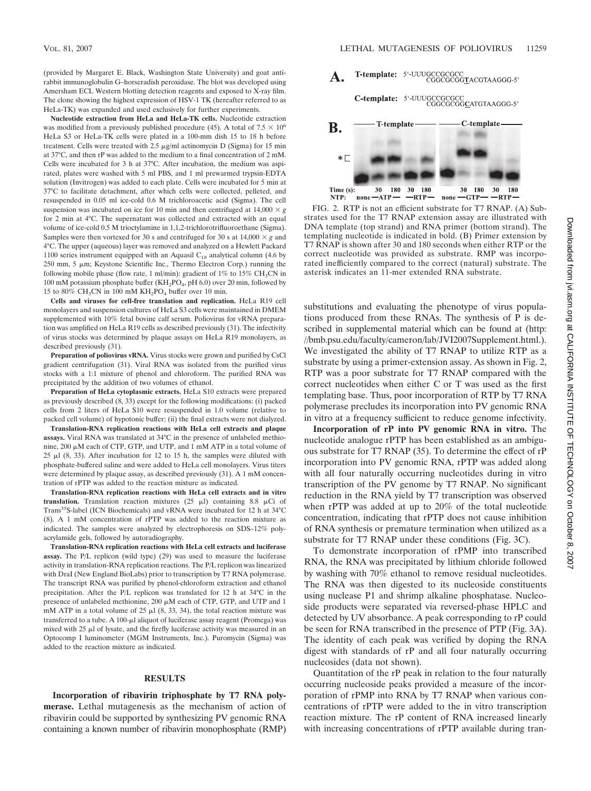(provided by Margaret E. Black, Washington State University) and goat antirabbit immunoglobulin G–horseradish peroxidase. The blot was developed using Amersham ECL Western blotting detection reagents and exposed to X-ray film. The clone showing the highest expression of HSV-1 TK (hereafter referred to as HeLa-TK) was expanded and used exclusively for further experiments.

**Nucleotide extraction from HeLa and HeLa-TK cells.** Nucleotide extraction was modified from a previously published procedure (45). A total of  $7.5 \times 10^6$ HeLa S3 or HeLa-TK cells were plated in a 100-mm dish 15 to 18 h before treatment. Cells were treated with 2.5  $\mu$ g/ml actinomycin D (Sigma) for 15 min at 37°C, and then rP was added to the medium to a final concentration of 2 mM. Cells were incubated for 3 h at 37°C. After incubation, the medium was aspirated, plates were washed with 5 ml PBS, and 1 ml prewarmed trypsin-EDTA solution (Invitrogen) was added to each plate. Cells were incubated for 5 min at 37°C to facilitate detachment, after which cells were collected, pelleted, and resuspended in 0.05 ml ice-cold 0.6 M trichloroacetic acid (Sigma). The cell suspension was incubated on ice for 10 min and then centrifuged at  $14,000 \times g$ for 2 min at 4°C. The supernatant was collected and extracted with an equal volume of ice-cold 0.5 M trioctylamine in 1,1,2-trichlorotrifluoroethane (Sigma). Samples were then vortexed for 30 s and centrifuged for 30 s at  $14,000 \times g$  and 4°C. The upper (aqueous) layer was removed and analyzed on a Hewlett Packard 1100 series instrument equipped with an Aquasil  $C_{18}$  analytical column (4.6 by  $250$  mm, 5  $\mu$ m; Keystone Scientific Inc., Thermo Electron Corp.) running the following mobile phase (flow rate, 1 ml/min): gradient of 1% to 15% CH<sub>3</sub>CN in 100 mM potassium phosphate buffer (KH<sub>2</sub>PO<sub>4</sub>, pH 6.0) over 20 min, followed by 15 to 80% CH<sub>3</sub>CN in 100 mM KH<sub>2</sub>PO<sub>4</sub> buffer over 10 min.

**Cells and viruses for cell-free translation and replication.** HeLa R19 cell monolayers and suspension cultures of HeLa S3 cells were maintained in DMEM supplemented with 10% fetal bovine calf serum. Poliovirus for vRNA preparation was amplified on HeLa R19 cells as described previously (31). The infectivity of virus stocks was determined by plaque assays on HeLa R19 monolayers, as described previously (31).

**Preparation of poliovirus vRNA.** Virus stocks were grown and purified by CsCl gradient centrifugation (31). Viral RNA was isolated from the purified virus stocks with a 1:1 mixture of phenol and chloroform. The purified RNA was precipitated by the addition of two volumes of ethanol.

**Preparation of HeLa cytoplasmic extracts.** HeLa S10 extracts were prepared as previously described (8, 33) except for the following modifications: (i) packed cells from 2 liters of HeLa S10 were resuspended in 1.0 volume (relative to packed cell volume) of hypotonic buffer; (ii) the final extracts were not dialyzed.

**Translation-RNA replication reactions with HeLa cell extracts and plaque assays.** Viral RNA was translated at 34°C in the presence of unlabeled methionine,  $200 \mu$ M each of CTP, GTP, and UTP, and 1 mM ATP in a total volume of 25  $\mu$ l (8, 33). After incubation for 12 to 15 h, the samples were diluted with phosphate-buffered saline and were added to HeLa cell monolayers. Virus titers were determined by plaque assay, as described previously (31). A 1 mM concentration of rPTP was added to the reaction mixture as indicated.

**Translation-RNA replication reactions with HeLa cell extracts and in vitro translation.** Translation reaction mixtures  $(25 \mu)$  containing 8.8  $\mu$ Ci of Trans35S-label (ICN Biochemicals) and vRNA were incubated for 12 h at 34°C (8). A 1 mM concentration of rPTP was added to the reaction mixture as indicated. The samples were analyzed by electrophoresis on SDS–12% polyacrylamide gels, followed by autoradiography.

**Translation-RNA replication reactions with HeLa cell extracts and luciferase assay.** The P/L replicon (wild type) (29) was used to measure the luciferase activity in translation-RNA replication reactions. The P/L replicon was linearized with DraI (New England BioLabs) prior to transcription by T7 RNA polymerase. The transcript RNA was purified by phenol-chloroform extraction and ethanol precipitation. After the P/L replicon was translated for 12 h at 34°C in the presence of unlabeled methionine,  $200 \mu M$  each of CTP, GTP, and UTP and 1 mM ATP in a total volume of 25  $\mu$ l (8, 33, 34), the total reaction mixture was transferred to a tube. A 100-µl aliquot of luciferase assay reagent (Promega) was mixed with 25  $\mu$ l of lysate, and the firefly luciferase activity was measured in an Optocomp I luminometer (MGM Instruments, Inc.). Puromycin (Sigma) was added to the reaction mixture as indicated.

#### **RESULTS**

**Incorporation of ribavirin triphosphate by T7 RNA polymerase.** Lethal mutagenesis as the mechanism of action of ribavirin could be supported by synthesizing PV genomic RNA containing a known number of ribavirin monophosphate (RMP)



FIG. 2. RTP is not an efficient substrate for T7 RNAP. (A) Substrates used for the T7 RNAP extension assay are illustrated with DNA template (top strand) and RNA primer (bottom strand). The templating nucleotide is indicated in bold. (B) Primer extension by T7 RNAP is shown after 30 and 180 seconds when either RTP or the correct nucleotide was provided as substrate. RMP was incorporated inefficiently compared to the correct (natural) substrate. The asterisk indicates an 11-mer extended RNA substrate.

substitutions and evaluating the phenotype of virus populations produced from these RNAs. The synthesis of P is described in supplemental material which can be found at (http: //bmb.psu.edu/faculty/cameron/lab/JVI2007Supplement.html.). We investigated the ability of T7 RNAP to utilize RTP as a substrate by using a primer-extension assay. As shown in Fig. 2, RTP was a poor substrate for T7 RNAP compared with the correct nucleotides when either C or T was used as the first templating base. Thus, poor incorporation of RTP by T7 RNA polymerase precludes its incorporation into PV genomic RNA in vitro at a frequency sufficient to reduce genome infectivity.

**Incorporation of rP into PV genomic RNA in vitro.** The nucleotide analogue rPTP has been established as an ambiguous substrate for T7 RNAP (35). To determine the effect of rP incorporation into PV genomic RNA, rPTP was added along with all four naturally occurring nucleotides during in vitro transcription of the PV genome by T7 RNAP. No significant reduction in the RNA yield by T7 transcription was observed when rPTP was added at up to 20% of the total nucleotide concentration, indicating that rPTP does not cause inhibition of RNA synthesis or premature termination when utilized as a substrate for T7 RNAP under these conditions (Fig. 3C).

To demonstrate incorporation of rPMP into transcribed RNA, the RNA was precipitated by lithium chloride followed by washing with 70% ethanol to remove residual nucleotides. The RNA was then digested to its nucleoside constituents using nuclease P1 and shrimp alkaline phosphatase. Nucleoside products were separated via reversed-phase HPLC and detected by UV absorbance. A peak corresponding to rP could be seen for RNA transcribed in the presence of PTP (Fig. 3A). The identity of each peak was verified by doping the RNA digest with standards of rP and all four naturally occurring nucleosides (data not shown).

Quantitation of the rP peak in relation to the four naturally occurring nucleoside peaks provided a measure of the incorporation of rPMP into RNA by T7 RNAP when various concentrations of rPTP were added to the in vitro transcription reaction mixture. The rP content of RNA increased linearly with increasing concentrations of rPTP available during tran-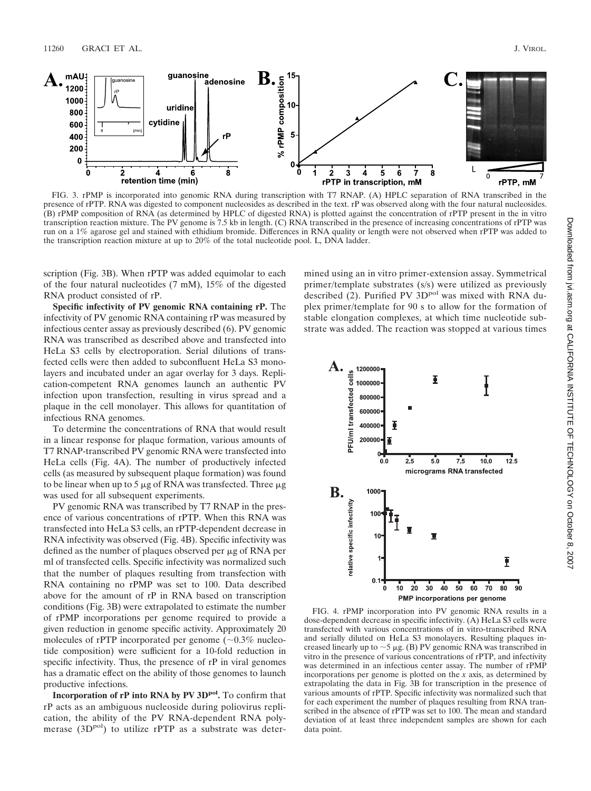

FIG. 3. rPMP is incorporated into genomic RNA during transcription with T7 RNAP. (A) HPLC separation of RNA transcribed in the presence of rPTP. RNA was digested to component nucleosides as described in the text. rP was observed along with the four natural nucleosides. (B) rPMP composition of RNA (as determined by HPLC of digested RNA) is plotted against the concentration of rPTP present in the in vitro transcription reaction mixture. The PV genome is 7.5 kb in length. (C) RNA transcribed in the presence of increasing concentrations of rPTP was run on a 1% agarose gel and stained with ethidium bromide. Differences in RNA quality or length were not observed when rPTP was added to the transcription reaction mixture at up to 20% of the total nucleotide pool. L, DNA ladder.

scription (Fig. 3B). When rPTP was added equimolar to each of the four natural nucleotides (7 mM), 15% of the digested RNA product consisted of rP.

**Specific infectivity of PV genomic RNA containing rP.** The infectivity of PV genomic RNA containing rP was measured by infectious center assay as previously described (6). PV genomic RNA was transcribed as described above and transfected into HeLa S3 cells by electroporation. Serial dilutions of transfected cells were then added to subconfluent HeLa S3 monolayers and incubated under an agar overlay for 3 days. Replication-competent RNA genomes launch an authentic PV infection upon transfection, resulting in virus spread and a plaque in the cell monolayer. This allows for quantitation of infectious RNA genomes.

To determine the concentrations of RNA that would result in a linear response for plaque formation, various amounts of T7 RNAP-transcribed PV genomic RNA were transfected into HeLa cells (Fig. 4A). The number of productively infected cells (as measured by subsequent plaque formation) was found to be linear when up to 5  $\mu$ g of RNA was transfected. Three  $\mu$ g was used for all subsequent experiments.

PV genomic RNA was transcribed by T7 RNAP in the presence of various concentrations of rPTP. When this RNA was transfected into HeLa S3 cells, an rPTP-dependent decrease in RNA infectivity was observed (Fig. 4B). Specific infectivity was defined as the number of plaques observed per  $\mu$ g of RNA per ml of transfected cells. Specific infectivity was normalized such that the number of plaques resulting from transfection with RNA containing no rPMP was set to 100. Data described above for the amount of rP in RNA based on transcription conditions (Fig. 3B) were extrapolated to estimate the number of rPMP incorporations per genome required to provide a given reduction in genome specific activity. Approximately 20 molecules of rPTP incorporated per genome  $(\sim 0.3\%$  nucleotide composition) were sufficient for a 10-fold reduction in specific infectivity. Thus, the presence of rP in viral genomes has a dramatic effect on the ability of those genomes to launch productive infections.

**Incorporation of rP into RNA by PV 3D<sup>pol</sup>.** To confirm that rP acts as an ambiguous nucleoside during poliovirus replication, the ability of the PV RNA-dependent RNA polymerase  $(3D<sup>pol</sup>)$  to utilize rPTP as a substrate was determined using an in vitro primer-extension assay. Symmetrical primer/template substrates (s/s) were utilized as previously described (2). Purified PV 3D<sup>pol</sup> was mixed with RNA duplex primer/template for 90 s to allow for the formation of stable elongation complexes, at which time nucleotide substrate was added. The reaction was stopped at various times



FIG. 4. rPMP incorporation into PV genomic RNA results in a dose-dependent decrease in specific infectivity. (A) HeLa S3 cells were transfected with various concentrations of in vitro-transcribed RNA and serially diluted on HeLa S3 monolayers. Resulting plaques increased linearly up to  $\sim$  5  $\mu$ g. (B) PV genomic RNA was transcribed in vitro in the presence of various concentrations of rPTP, and infectivity was determined in an infectious center assay. The number of rPMP incorporations per genome is plotted on the *x* axis, as determined by extrapolating the data in Fig. 3B for transcription in the presence of various amounts of rPTP. Specific infectivity was normalized such that for each experiment the number of plaques resulting from RNA transcribed in the absence of rPTP was set to 100. The mean and standard deviation of at least three independent samples are shown for each data point.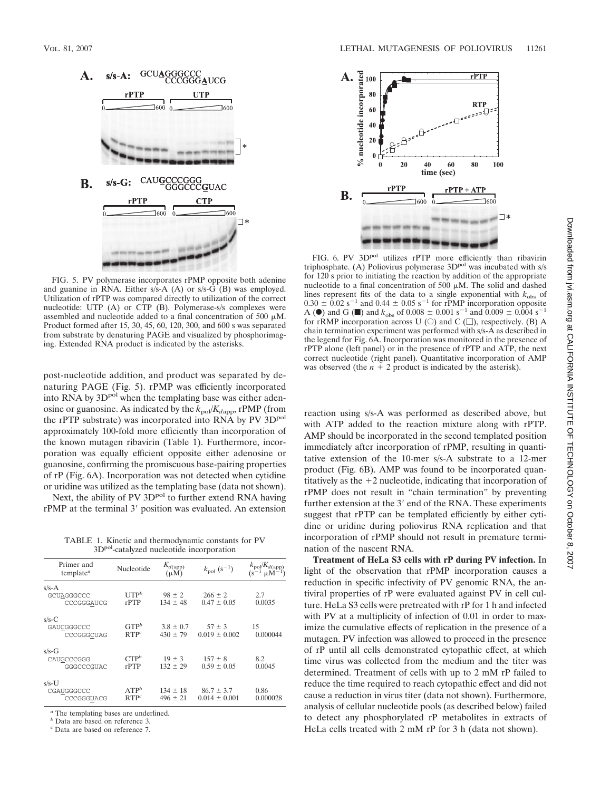

FIG. 5. PV polymerase incorporates rPMP opposite both adenine and guanine in RNA. Either s/s-A (A) or s/s-G (B) was employed. Utilization of rPTP was compared directly to utilization of the correct nucleotide: UTP (A) or CTP (B). Polymerase-s/s complexes were assembled and nucleotide added to a final concentration of 500  $\mu$ M. Product formed after 15, 30, 45, 60, 120, 300, and 600 s was separated from substrate by denaturing PAGE and visualized by phosphorimaging. Extended RNA product is indicated by the asterisks.

post-nucleotide addition, and product was separated by denaturing PAGE (Fig. 5). rPMP was efficiently incorporated into RNA by 3D<sup>pol</sup> when the templating base was either adenosine or guanosine. As indicated by the  $k_{\text{pol}}/K_{\text{dapp}}$ , rPMP (from the rPTP substrate) was incorporated into RNA by PV 3D<sup>pol</sup> approximately 100-fold more efficiently than incorporation of the known mutagen ribavirin (Table 1). Furthermore, incorporation was equally efficient opposite either adenosine or guanosine, confirming the promiscuous base-pairing properties of rP (Fig. 6A). Incorporation was not detected when cytidine or uridine was utilized as the templating base (data not shown).

Next, the ability of PV 3D<sup>pol</sup> to further extend RNA having rPMP at the terminal 3' position was evaluated. An extension

TABLE 1. Kinetic and thermodynamic constants for PV 3Dpol-catalyzed nucleotide incorporation

| Primer and<br>template <sup><math>a</math></sup> | Nucleotide                           | $\frac{K_{d(\text{app})}}{(\mu M)}$ | $k_{\rm pol}$ (s <sup>-1</sup> )    | $k_{\text{pol}}/K_{d(\text{app})}$ |
|--------------------------------------------------|--------------------------------------|-------------------------------------|-------------------------------------|------------------------------------|
| $s/s-A$<br>GCUAGGGCCC<br>CCCGGGAUCG              | $UTP^b$<br>rPTP                      | $98 \pm 2$<br>$134 \pm 48$          | $266 \pm 2$<br>$0.47 \pm 0.05$      | 2.7<br>0.0035                      |
| $s/s-C$<br>GAUCGGGCCC<br>CCCGGGCUAG              | $GTP^b$<br>RTP <sup>c</sup>          | $3.8 \pm 0.7$<br>$430 \pm 79$       | $57 \pm 3$<br>$0.019 \pm 0.002$     | 15<br>0.000044                     |
| $s/s-G$<br>CAUGCCCGGG<br>GGGCCCGUAC              | $CTP^b$<br>rPTP                      | $19 \pm 3$<br>$132 \pm 29$          | $157 \pm 8$<br>$0.59 \pm 0.05$      | 8.2<br>0.0045                      |
| $s/s-U$<br>CGAUGGGCCC<br>CCCGGGUACG              | ATP <sup>b</sup><br>RTP <sup>c</sup> | $134 \pm 18$<br>$496 \pm 21$        | $86.7 \pm 3.7$<br>$0.014 \pm 0.001$ | 0.86<br>0.000028                   |

*<sup>a</sup>* The templating bases are underlined.

*<sup>b</sup>* Data are based on reference 3.

*<sup>c</sup>* Data are based on reference 7.



FIG. 6. PV 3D<sup>pol</sup> utilizes rPTP more efficiently than ribavirin triphosphate. (A) Poliovirus polymerase 3D<sup>pol</sup> was incubated with s/s for 120 s prior to initiating the reaction by addition of the appropriate nucleotide to a final concentration of  $500 \mu M$ . The solid and dashed lines represent fits of the data to a single exponential with  $k_{obs}$  of  $0.30 \pm 0.02$  s<sup>-1</sup> and  $0.44 \pm 0.05$  s<sup>-1</sup> for rPMP incorporation opposite A ( $\bullet$ ) and G ( $\blacksquare$ ) and  $k_{\text{obs}}$  of 0.008  $\pm$  0.001 s<sup>-1</sup> and 0.009  $\pm$  0.004 s<sup>-1</sup> for rRMP incorporation across U ( $\circ$ ) and C ( $\Box$ ), respectively. (B) A chain termination experiment was performed with s/s-A as described in the legend for Fig. 6A. Incorporation was monitored in the presence of rPTP alone (left panel) or in the presence of rPTP and ATP, the next correct nucleotide (right panel). Quantitative incorporation of AMP was observed (the  $n + 2$  product is indicated by the asterisk).

reaction using s/s-A was performed as described above, but with ATP added to the reaction mixture along with rPTP. AMP should be incorporated in the second templated position immediately after incorporation of rPMP, resulting in quantitative extension of the 10-mer s/s-A substrate to a 12-mer product (Fig. 6B). AMP was found to be incorporated quantitatively as the  $+2$  nucleotide, indicating that incorporation of rPMP does not result in "chain termination" by preventing further extension at the 3' end of the RNA. These experiments suggest that rPTP can be templated efficiently by either cytidine or uridine during poliovirus RNA replication and that incorporation of rPMP should not result in premature termination of the nascent RNA.

**Treatment of HeLa S3 cells with rP during PV infection.** In light of the observation that rPMP incorporation causes a reduction in specific infectivity of PV genomic RNA, the antiviral properties of rP were evaluated against PV in cell culture. HeLa S3 cells were pretreated with rP for 1 h and infected with PV at a multiplicity of infection of 0.01 in order to maximize the cumulative effects of replication in the presence of a mutagen. PV infection was allowed to proceed in the presence of rP until all cells demonstrated cytopathic effect, at which time virus was collected from the medium and the titer was determined. Treatment of cells with up to 2 mM rP failed to reduce the time required to reach cytopathic effect and did not cause a reduction in virus titer (data not shown). Furthermore, analysis of cellular nucleotide pools (as described below) failed to detect any phosphorylated rP metabolites in extracts of HeLa cells treated with 2 mM rP for 3 h (data not shown).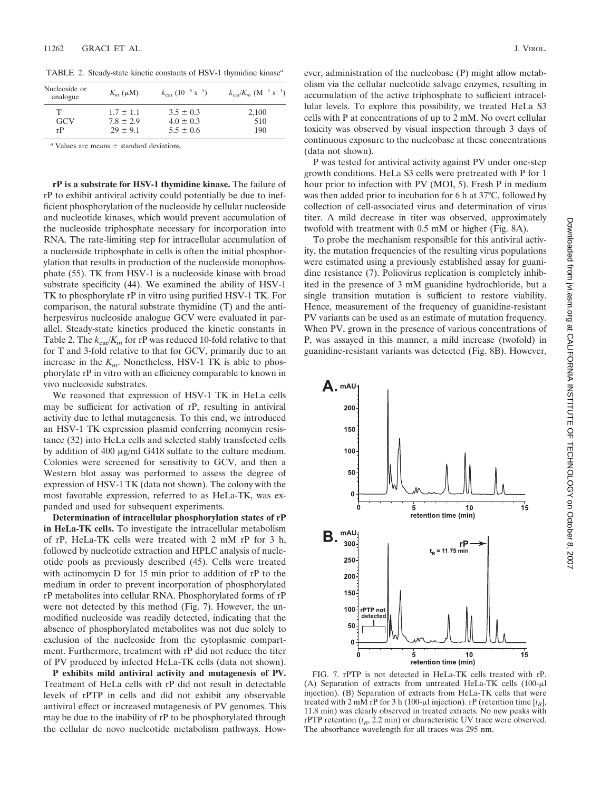TABLE 2. Steady-state kinetic constants of HSV-1 thymidine kinase*<sup>a</sup>*

| Nucleoside or<br>analogue | $K_m$ ( $\mu$ M) | $k_{\text{cat}}$ $(10^{-3} \text{ s}^{-1})$ | $k_{\text{cat}}/K_m$ (M <sup>-1</sup> s <sup>-1</sup> ) |
|---------------------------|------------------|---------------------------------------------|---------------------------------------------------------|
| т                         | $1.7 \pm 1.1$    | $3.5 \pm 0.3$                               | 2,100                                                   |
| GCV                       | $7.8 \pm 2.9$    | $4.0 \pm 0.3$                               | 510                                                     |
| rP                        | $29 \pm 9.1$     | $5.5 \pm 0.6$                               | 190                                                     |

 $a$  Values are means  $\pm$  standard deviations.

**rP is a substrate for HSV-1 thymidine kinase.** The failure of rP to exhibit antiviral activity could potentially be due to inefficient phosphorylation of the nucleoside by cellular nucleoside and nucleotide kinases, which would prevent accumulation of the nucleoside triphosphate necessary for incorporation into RNA. The rate-limiting step for intracellular accumulation of a nucleoside triphosphate in cells is often the initial phosphorylation that results in production of the nucleoside monophosphate (55). TK from HSV-1 is a nucleoside kinase with broad substrate specificity (44). We examined the ability of HSV-1 TK to phosphorylate rP in vitro using purified HSV-1 TK. For comparison, the natural substrate thymidine (T) and the antiherpesvirus nucleoside analogue GCV were evaluated in parallel. Steady-state kinetics produced the kinetic constants in Table 2. The  $k_{\text{cat}}/K_m$  for rP was reduced 10-fold relative to that for T and 3-fold relative to that for GCV, primarily due to an increase in the  $K_m$ . Nonetheless, HSV-1 TK is able to phosphorylate rP in vitro with an efficiency comparable to known in vivo nucleoside substrates.

We reasoned that expression of HSV-1 TK in HeLa cells may be sufficient for activation of rP, resulting in antiviral activity due to lethal mutagenesis. To this end, we introduced an HSV-1 TK expression plasmid conferring neomycin resistance (32) into HeLa cells and selected stably transfected cells by addition of 400  $\mu$ g/ml G418 sulfate to the culture medium. Colonies were screened for sensitivity to GCV, and then a Western blot assay was performed to assess the degree of expression of HSV-1 TK (data not shown). The colony with the most favorable expression, referred to as HeLa-TK, was expanded and used for subsequent experiments.

**Determination of intracellular phosphorylation states of rP in HeLa-TK cells.** To investigate the intracellular metabolism of rP, HeLa-TK cells were treated with 2 mM rP for 3 h, followed by nucleotide extraction and HPLC analysis of nucleotide pools as previously described (45). Cells were treated with actinomycin D for 15 min prior to addition of rP to the medium in order to prevent incorporation of phosphorylated rP metabolites into cellular RNA. Phosphorylated forms of rP were not detected by this method (Fig. 7). However, the unmodified nucleoside was readily detected, indicating that the absence of phosphorylated metabolites was not due solely to exclusion of the nucleoside from the cytoplasmic compartment. Furthermore, treatment with rP did not reduce the titer of PV produced by infected HeLa-TK cells (data not shown).

**P exhibits mild antiviral activity and mutagenesis of PV.** Treatment of HeLa cells with rP did not result in detectable levels of rPTP in cells and did not exhibit any observable antiviral effect or increased mutagenesis of PV genomes. This may be due to the inability of rP to be phosphorylated through the cellular de novo nucleotide metabolism pathways. However, administration of the nucleobase (P) might allow metabolism via the cellular nucleotide salvage enzymes, resulting in accumulation of the active triphosphate to sufficient intracellular levels. To explore this possibility, we treated HeLa S3 cells with P at concentrations of up to 2 mM. No overt cellular toxicity was observed by visual inspection through 3 days of continuous exposure to the nucleobase at these concentrations (data not shown).

P was tested for antiviral activity against PV under one-step growth conditions. HeLa S3 cells were pretreated with P for 1 hour prior to infection with PV (MOI, 5). Fresh P in medium was then added prior to incubation for 6 h at 37°C, followed by collection of cell-associated virus and determination of virus titer. A mild decrease in titer was observed, approximately twofold with treatment with 0.5 mM or higher (Fig. 8A).

To probe the mechanism responsible for this antiviral activity, the mutation frequencies of the resulting virus populations were estimated using a previously established assay for guanidine resistance (7). Poliovirus replication is completely inhibited in the presence of 3 mM guanidine hydrochloride, but a single transition mutation is sufficient to restore viability. Hence, measurement of the frequency of guanidine-resistant PV variants can be used as an estimate of mutation frequency. When PV, grown in the presence of various concentrations of P, was assayed in this manner, a mild increase (twofold) in guanidine-resistant variants was detected (Fig. 8B). However,



FIG. 7. rPTP is not detected in HeLa-TK cells treated with rP. (A) Separation of extracts from untreated HeLa-TK cells  $(100-\mu I)$ injection). (B) Separation of extracts from HeLa-TK cells that were treated with  $2 \text{ mM rP}$  for 3 h (100- $\mu$ l injection). rP (retention time [ $t_R$ ], 11.8 min) was clearly observed in treated extracts. No new peaks with rPTP retention  $(t_R, 2.2 \text{ min})$  or characteristic UV trace were observed. The absorbance wavelength for all traces was 295 nm.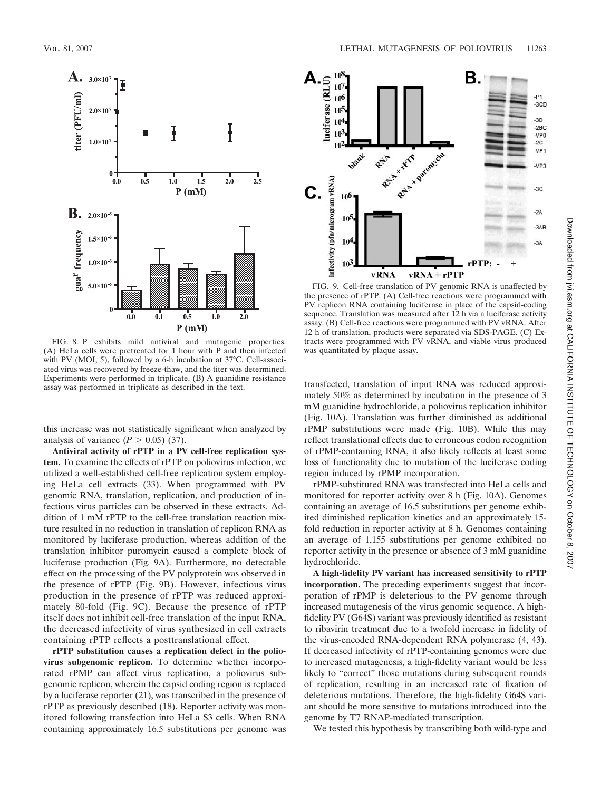

FIG. 8. P exhibits mild antiviral and mutagenic properties. (A) HeLa cells were pretreated for 1 hour with P and then infected with PV (MOI, 5), followed by a 6-h incubation at 37°C. Cell-associated virus was recovered by freeze-thaw, and the titer was determined. Experiments were performed in triplicate. (B) A guanidine resistance assay was performed in triplicate as described in the text.

this increase was not statistically significant when analyzed by analysis of variance  $(P > 0.05)$  (37).

**Antiviral activity of rPTP in a PV cell-free replication system.** To examine the effects of rPTP on poliovirus infection, we utilized a well-established cell-free replication system employing HeLa cell extracts (33). When programmed with PV genomic RNA, translation, replication, and production of infectious virus particles can be observed in these extracts. Addition of 1 mM rPTP to the cell-free translation reaction mixture resulted in no reduction in translation of replicon RNA as monitored by luciferase production, whereas addition of the translation inhibitor puromycin caused a complete block of luciferase production (Fig. 9A). Furthermore, no detectable effect on the processing of the PV polyprotein was observed in the presence of rPTP (Fig. 9B). However, infectious virus production in the presence of rPTP was reduced approximately 80-fold (Fig. 9C). Because the presence of rPTP itself does not inhibit cell-free translation of the input RNA, the decreased infectivity of virus synthesized in cell extracts containing rPTP reflects a posttranslational effect.

**rPTP substitution causes a replication defect in the poliovirus subgenomic replicon.** To determine whether incorporated rPMP can affect virus replication, a poliovirus subgenomic replicon, wherein the capsid coding region is replaced by a luciferase reporter (21), was transcribed in the presence of rPTP as previously described (18). Reporter activity was monitored following transfection into HeLa S3 cells. When RNA containing approximately 16.5 substitutions per genome was



FIG. 9. Cell-free translation of PV genomic RNA is unaffected by the presence of rPTP. (A) Cell-free reactions were programmed with PV replicon RNA containing luciferase in place of the capsid-coding sequence. Translation was measured after 12 h via a luciferase activity assay. (B) Cell-free reactions were programmed with PV vRNA. After 12 h of translation, products were separated via SDS-PAGE. (C) Extracts were programmed with PV vRNA, and viable virus produced was quantitated by plaque assay.

transfected, translation of input RNA was reduced approximately 50% as determined by incubation in the presence of 3 mM guanidine hydrochloride, a poliovirus replication inhibitor (Fig. 10A). Translation was further diminished as additional rPMP substitutions were made (Fig. 10B). While this may reflect translational effects due to erroneous codon recognition of rPMP-containing RNA, it also likely reflects at least some loss of functionality due to mutation of the luciferase coding region induced by rPMP incorporation.

rPMP-substituted RNA was transfected into HeLa cells and monitored for reporter activity over 8 h (Fig. 10A). Genomes containing an average of 16.5 substitutions per genome exhibited diminished replication kinetics and an approximately 15 fold reduction in reporter activity at 8 h. Genomes containing an average of 1,155 substitutions per genome exhibited no reporter activity in the presence or absence of 3 mM guanidine hydrochloride.

**A high-fidelity PV variant has increased sensitivity to rPTP incorporation.** The preceding experiments suggest that incorporation of rPMP is deleterious to the PV genome through increased mutagenesis of the virus genomic sequence. A highfidelity PV (G64S) variant was previously identified as resistant to ribavirin treatment due to a twofold increase in fidelity of the virus-encoded RNA-dependent RNA polymerase (4, 43). If decreased infectivity of rPTP-containing genomes were due to increased mutagenesis, a high-fidelity variant would be less likely to "correct" those mutations during subsequent rounds of replication, resulting in an increased rate of fixation of deleterious mutations. Therefore, the high-fidelity G64S variant should be more sensitive to mutations introduced into the genome by T7 RNAP-mediated transcription.

We tested this hypothesis by transcribing both wild-type and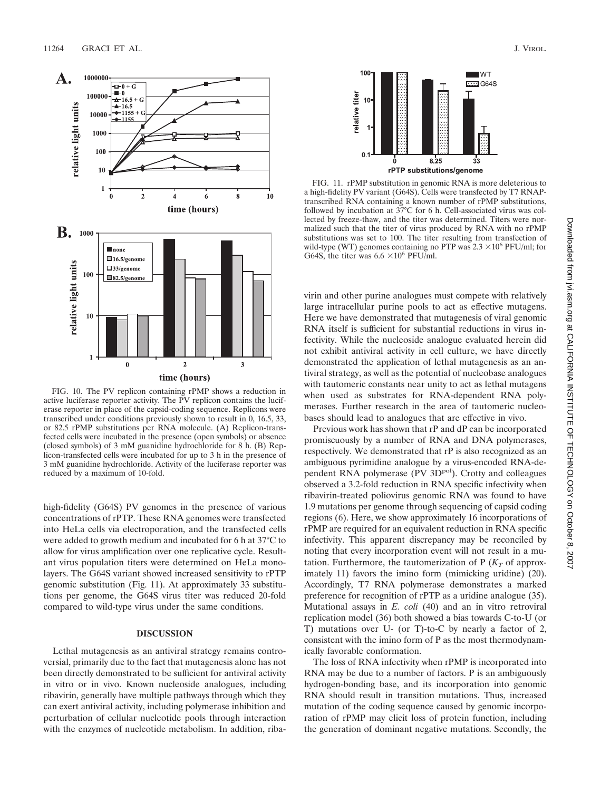

FIG. 10. The PV replicon containing rPMP shows a reduction in active luciferase reporter activity. The PV replicon contains the luciferase reporter in place of the capsid-coding sequence. Replicons were transcribed under conditions previously shown to result in 0, 16.5, 33, or 82.5 rPMP substitutions per RNA molecule. (A) Replicon-transfected cells were incubated in the presence (open symbols) or absence (closed symbols) of 3 mM guanidine hydrochloride for 8 h. (B) Replicon-transfected cells were incubated for up to 3 h in the presence of 3 mM guanidine hydrochloride. Activity of the luciferase reporter was reduced by a maximum of 10-fold.

high-fidelity (G64S) PV genomes in the presence of various concentrations of rPTP. These RNA genomes were transfected into HeLa cells via electroporation, and the transfected cells were added to growth medium and incubated for 6 h at 37°C to allow for virus amplification over one replicative cycle. Resultant virus population titers were determined on HeLa monolayers. The G64S variant showed increased sensitivity to rPTP genomic substitution (Fig. 11). At approximately 33 substitutions per genome, the G64S virus titer was reduced 20-fold compared to wild-type virus under the same conditions.

## **DISCUSSION**

Lethal mutagenesis as an antiviral strategy remains controversial, primarily due to the fact that mutagenesis alone has not been directly demonstrated to be sufficient for antiviral activity in vitro or in vivo. Known nucleoside analogues, including ribavirin, generally have multiple pathways through which they can exert antiviral activity, including polymerase inhibition and perturbation of cellular nucleotide pools through interaction with the enzymes of nucleotide metabolism. In addition, riba-



FIG. 11. rPMP substitution in genomic RNA is more deleterious to a high-fidelity PV variant (G64S). Cells were transfected by T7 RNAPtranscribed RNA containing a known number of rPMP substitutions, followed by incubation at 37°C for 6 h. Cell-associated virus was collected by freeze-thaw, and the titer was determined. Titers were normalized such that the titer of virus produced by RNA with no rPMP substitutions was set to 100. The titer resulting from transfection of wild-type (WT) genomes containing no PTP was  $2.3 \times 10^6$  PFU/ml; for G64S, the titer was  $6.6 \times 10^6$  PFU/ml.

virin and other purine analogues must compete with relatively large intracellular purine pools to act as effective mutagens. Here we have demonstrated that mutagenesis of viral genomic RNA itself is sufficient for substantial reductions in virus infectivity. While the nucleoside analogue evaluated herein did not exhibit antiviral activity in cell culture, we have directly demonstrated the application of lethal mutagenesis as an antiviral strategy, as well as the potential of nucleobase analogues with tautomeric constants near unity to act as lethal mutagens when used as substrates for RNA-dependent RNA polymerases. Further research in the area of tautomeric nucleobases should lead to analogues that are effective in vivo.

Previous work has shown that rP and dP can be incorporated promiscuously by a number of RNA and DNA polymerases, respectively. We demonstrated that rP is also recognized as an ambiguous pyrimidine analogue by a virus-encoded RNA-dependent RNA polymerase (PV 3D<sup>pol</sup>). Crotty and colleagues observed a 3.2-fold reduction in RNA specific infectivity when ribavirin-treated poliovirus genomic RNA was found to have 1.9 mutations per genome through sequencing of capsid coding regions (6). Here, we show approximately 16 incorporations of rPMP are required for an equivalent reduction in RNA specific infectivity. This apparent discrepancy may be reconciled by noting that every incorporation event will not result in a mutation. Furthermore, the tautomerization of P  $(K_T)$  of approximately 11) favors the imino form (mimicking uridine) (20). Accordingly, T7 RNA polymerase demonstrates a marked preference for recognition of rPTP as a uridine analogue (35). Mutational assays in *E. coli* (40) and an in vitro retroviral replication model (36) both showed a bias towards C-to-U (or T) mutations over U- (or T)-to-C by nearly a factor of 2, consistent with the imino form of P as the most thermodynamically favorable conformation.

The loss of RNA infectivity when rPMP is incorporated into RNA may be due to a number of factors. P is an ambiguously hydrogen-bonding base, and its incorporation into genomic RNA should result in transition mutations. Thus, increased mutation of the coding sequence caused by genomic incorporation of rPMP may elicit loss of protein function, including the generation of dominant negative mutations. Secondly, the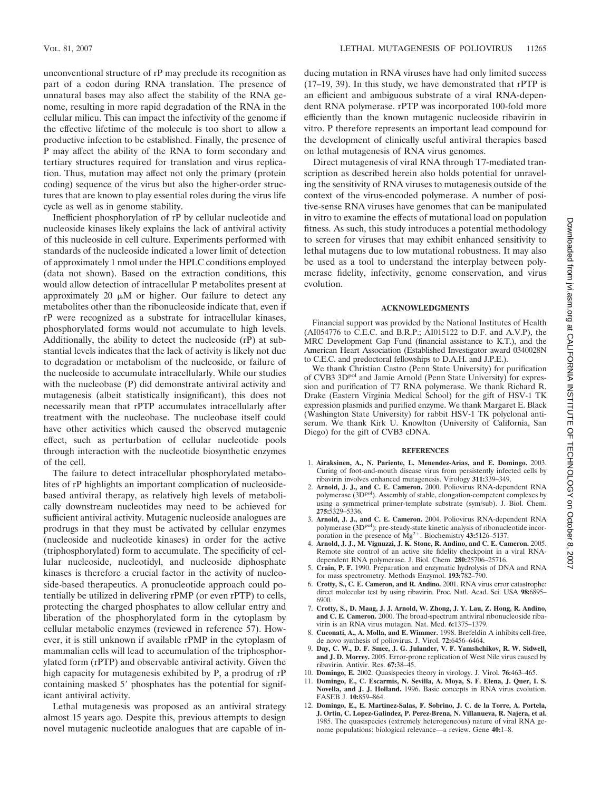unconventional structure of rP may preclude its recognition as part of a codon during RNA translation. The presence of unnatural bases may also affect the stability of the RNA genome, resulting in more rapid degradation of the RNA in the cellular milieu. This can impact the infectivity of the genome if the effective lifetime of the molecule is too short to allow a productive infection to be established. Finally, the presence of P may affect the ability of the RNA to form secondary and tertiary structures required for translation and virus replication. Thus, mutation may affect not only the primary (protein coding) sequence of the virus but also the higher-order structures that are known to play essential roles during the virus life cycle as well as in genome stability.

Inefficient phosphorylation of rP by cellular nucleotide and nucleoside kinases likely explains the lack of antiviral activity of this nucleoside in cell culture. Experiments performed with standards of the nucleoside indicated a lower limit of detection of approximately 1 nmol under the HPLC conditions employed (data not shown). Based on the extraction conditions, this would allow detection of intracellular P metabolites present at approximately 20  $\mu$ M or higher. Our failure to detect any metabolites other than the ribonucleoside indicate that, even if rP were recognized as a substrate for intracellular kinases, phosphorylated forms would not accumulate to high levels. Additionally, the ability to detect the nucleoside (rP) at substantial levels indicates that the lack of activity is likely not due to degradation or metabolism of the nucleoside, or failure of the nucleoside to accumulate intracellularly. While our studies with the nucleobase (P) did demonstrate antiviral activity and mutagenesis (albeit statistically insignificant), this does not necessarily mean that rPTP accumulates intracellularly after treatment with the nucleobase. The nucleobase itself could have other activities which caused the observed mutagenic effect, such as perturbation of cellular nucleotide pools through interaction with the nucleotide biosynthetic enzymes of the cell.

The failure to detect intracellular phosphorylated metabolites of rP highlights an important complication of nucleosidebased antiviral therapy, as relatively high levels of metabolically downstream nucleotides may need to be achieved for sufficient antiviral activity. Mutagenic nucleoside analogues are prodrugs in that they must be activated by cellular enzymes (nucleoside and nucleotide kinases) in order for the active (triphosphorylated) form to accumulate. The specificity of cellular nucleoside, nucleotidyl, and nucleoside diphosphate kinases is therefore a crucial factor in the activity of nucleoside-based therapeutics. A pronucleotide approach could potentially be utilized in delivering rPMP (or even rPTP) to cells, protecting the charged phosphates to allow cellular entry and liberation of the phosphorylated form in the cytoplasm by cellular metabolic enzymes (reviewed in reference 57). However, it is still unknown if available rPMP in the cytoplasm of mammalian cells will lead to accumulation of the triphosphorylated form (rPTP) and observable antiviral activity. Given the high capacity for mutagenesis exhibited by P, a prodrug of rP containing masked 5' phosphates has the potential for significant antiviral activity.

Lethal mutagenesis was proposed as an antiviral strategy almost 15 years ago. Despite this, previous attempts to design novel mutagenic nucleotide analogues that are capable of inducing mutation in RNA viruses have had only limited success (17–19, 39). In this study, we have demonstrated that rPTP is an efficient and ambiguous substrate of a viral RNA-dependent RNA polymerase. rPTP was incorporated 100-fold more efficiently than the known mutagenic nucleoside ribavirin in vitro. P therefore represents an important lead compound for the development of clinically useful antiviral therapies based on lethal mutagenesis of RNA virus genomes.

Direct mutagenesis of viral RNA through T7-mediated transcription as described herein also holds potential for unraveling the sensitivity of RNA viruses to mutagenesis outside of the context of the virus-encoded polymerase. A number of positive-sense RNA viruses have genomes that can be manipulated in vitro to examine the effects of mutational load on population fitness. As such, this study introduces a potential methodology to screen for viruses that may exhibit enhanced sensitivity to lethal mutagens due to low mutational robustness. It may also be used as a tool to understand the interplay between polymerase fidelity, infectivity, genome conservation, and virus evolution.

## **ACKNOWLEDGMENTS**

Financial support was provided by the National Institutes of Health (AI054776 to C.E.C. and B.R.P.; AI015122 to D.F. and A.V.P), the MRC Development Gap Fund (financial assistance to K.T.), and the American Heart Association (Established Investigator award 0340028N to C.E.C. and predoctoral fellowships to D.A.H. and J.P.E.).

We thank Christian Castro (Penn State University) for purification of CVB3 3Dpol and Jamie Arnold (Penn State University) for expression and purification of T7 RNA polymerase. We thank Richard R. Drake (Eastern Virginia Medical School) for the gift of HSV-1 TK expression plasmids and purified enzyme. We thank Margaret E. Black (Washington State University) for rabbit HSV-1 TK polyclonal antiserum. We thank Kirk U. Knowlton (University of California, San Diego) for the gift of CVB3 cDNA.

## **REFERENCES**

- 1. **Airaksinen, A., N. Pariente, L. Menendez-Arias, and E. Domingo.** 2003. Curing of foot-and-mouth disease virus from persistently infected cells by ribavirin involves enhanced mutagenesis. Virology **311:**339–349.
- 2. **Arnold, J. J., and C. E. Cameron.** 2000. Poliovirus RNA-dependent RNA polymerase (3D<sup>pol</sup>). Assembly of stable, elongation-competent complexes by using a symmetrical primer-template substrate (sym/sub). J. Biol. Chem. **275:**5329–5336.
- 3. **Arnold, J. J., and C. E. Cameron.** 2004. Poliovirus RNA-dependent RNA polymerase (3D<sup>pol</sup>): pre-steady-state kinetic analysis of ribonucleotide incorporation in the presence of  $Mg^{2+}$ . Biochemistry **43:**5126–5137.
- 4. **Arnold, J. J., M. Vignuzzi, J. K. Stone, R. Andino, and C. E. Cameron.** 2005. Remote site control of an active site fidelity checkpoint in a viral RNAdependent RNA polymerase. J. Biol. Chem. **280:**25706–25716.
- 5. **Crain, P. F.** 1990. Preparation and enzymatic hydrolysis of DNA and RNA for mass spectrometry. Methods Enzymol. **193:**782–790.
- 6. **Crotty, S., C. E. Cameron, and R. Andino.** 2001. RNA virus error catastrophe: direct molecular test by using ribavirin. Proc. Natl. Acad. Sci. USA **98:**6895– 6900.
- 7. **Crotty, S., D. Maag, J. J. Arnold, W. Zhong, J. Y. Lau, Z. Hong, R. Andino, and C. E. Cameron.** 2000. The broad-spectrum antiviral ribonucleoside ribavirin is an RNA virus mutagen. Nat. Med. **6:**1375–1379.
- 8. **Cuconati, A., A. Molla, and E. Wimmer.** 1998. Brefeldin A inhibits cell-free, de novo synthesis of poliovirus. J. Virol. **72:**6456–6464.
- 9. **Day, C. W., D. F. Smee, J. G. Julander, V. F. Yamshchikov, R. W. Sidwell, and J. D. Morrey.** 2005. Error-prone replication of West Nile virus caused by ribavirin. Antivir. Res. **67:**38–45.
- 10. **Domingo, E.** 2002. Quasispecies theory in virology. J. Virol. **76:**463–465.
- 11. **Domingo, E., C. Escarmis, N. Sevilla, A. Moya, S. F. Elena, J. Quer, I. S. Novella, and J. J. Holland.** 1996. Basic concepts in RNA virus evolution. FASEB J. **10:**859–864.
- 12. **Domingo, E., E. Martinez-Salas, F. Sobrino, J. C. de la Torre, A. Portela, J. Ortin, C. Lopez-Galindez, P. Perez-Brena, N. Villanueva, R. Najera, et al.** 1985. The quasispecies (extremely heterogeneous) nature of viral RNA genome populations: biological relevance—a review. Gene **40:**1–8.